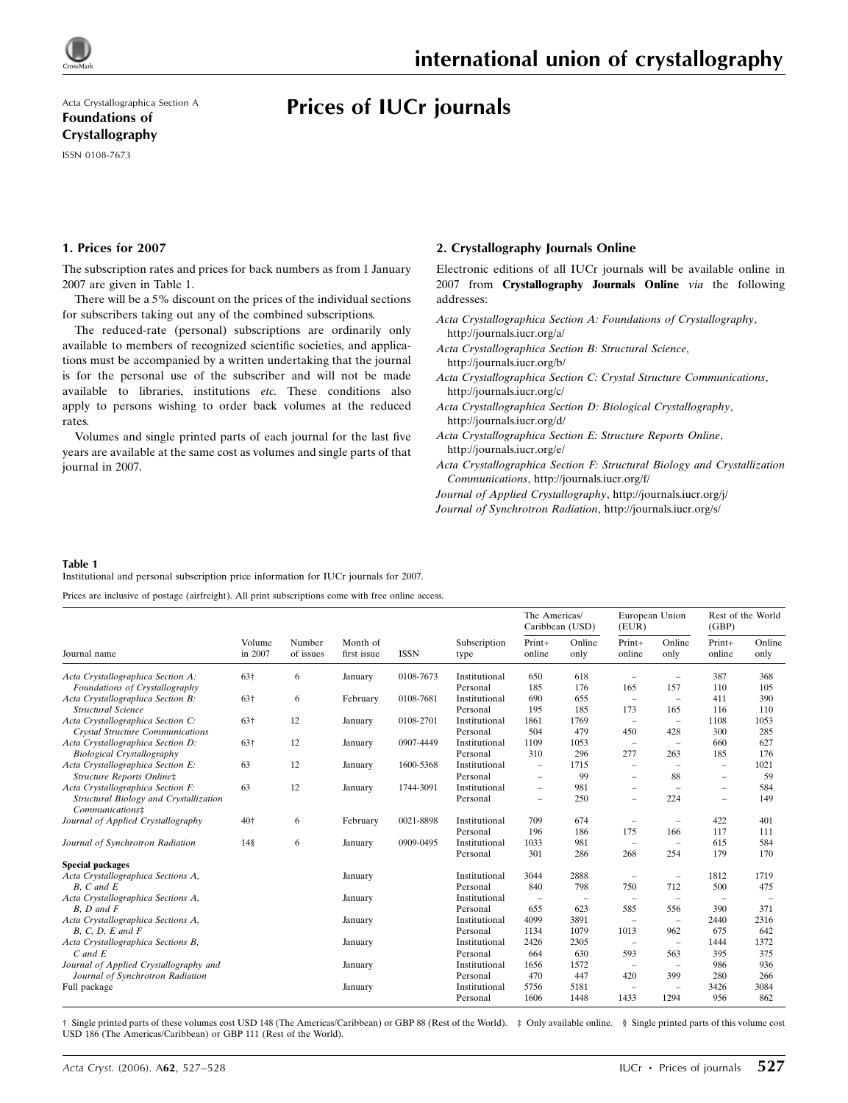

Acta Crystallographica Section A Foundations of Crystallography ISSN 0108-7673

# Prices of IUCr journals

### 1. Prices for 2007

The subscription rates and prices for back numbers as from 1 January 2007 are given in Table 1.

There will be a 5% discount on the prices of the individual sections for subscribers taking out any of the combined subscriptions.

The reduced-rate (personal) subscriptions are ordinarily only available to members of recognized scientific societies, and applications must be accompanied by a written undertaking that the journal is for the personal use of the subscriber and will not be made available to libraries, institutions etc. These conditions also apply to persons wishing to order back volumes at the reduced rates.

Volumes and single printed parts of each journal for the last five years are available at the same cost as volumes and single parts of that journal in 2007.

#### 2. Crystallography Journals Online

Electronic editions of all IUCr journals will be available online in 2007 from Crystallography Journals Online via the following addresses:

Acta Crystallographica Section A: Foundations of Crystallography, http://journals.iucr.org/a/

Acta Crystallographica Section B: Structural Science, http://journals.iucr.org/b/

- Acta Crystallographica Section C: Crystal Structure Communications, http://journals.iucr.org/c/
- Acta Crystallographica Section D: Biological Crystallography, http://journals.iucr.org/d/
- Acta Crystallographica Section E: Structure Reports Online, http://journals.iucr.org/e/
- Acta Crystallographica Section F: Structural Biology and Crystallization Communications, http://journals.iucr.org/f/

Journal of Applied Crystallography, http://journals.iucr.org/j/

Journal of Synchrotron Radiation, http://journals.iucr.org/s/

#### Table 1

Institutional and personal subscription price information for IUCr journals for 2007.

Prices are inclusive of postage (airfreight). All print subscriptions come with free online access.

| Journal name                                                   | Volume<br>in 2007 | Number<br>of issues | Month of<br>first issue | <b>ISSN</b> | Subscription<br>type      | The Americas/<br>Caribbean (USD) |                | European Union<br>(EUR)  |                                 | Rest of the World<br>(GBP) |                |
|----------------------------------------------------------------|-------------------|---------------------|-------------------------|-------------|---------------------------|----------------------------------|----------------|--------------------------|---------------------------------|----------------------------|----------------|
|                                                                |                   |                     |                         |             |                           | Print+<br>online                 | Online<br>only | $Print+$<br>online       | Online<br>only                  | Print+<br>online           | Online<br>only |
| Acta Crystallographica Section A:                              | 63†               | 6                   | January                 | 0108-7673   | Institutional             | 650                              | 618            | ۰                        | ۰                               | 387                        | 368            |
| Foundations of Crystallography                                 |                   |                     |                         |             | Personal                  | 185                              | 176            | 165                      | 157                             | 110                        | 105            |
| Acta Crystallographica Section B:<br>Structural Science        | 63†               | 6                   | February                | 0108-7681   | Institutional<br>Personal | 690<br>195                       | 655<br>185     | $\qquad \qquad -$<br>173 | $\overline{\phantom{a}}$<br>165 | 411<br>116                 | 390<br>110     |
| Acta Crystallographica Section C:                              | 63†               | 12                  | January                 | 0108-2701   | Institutional             | 1861                             | 1769           | $\overline{\phantom{m}}$ | $\overline{\phantom{a}}$        | 1108                       | 1053           |
| <b>Crystal Structure Communications</b>                        |                   |                     |                         |             | Personal                  | 504                              | 479            | 450                      | 428                             | 300                        | 285            |
| Acta Crystallographica Section D:                              | 63†               | 12                  | January                 | 0907-4449   | Institutional             | 1109                             | 1053           | $\overline{\phantom{a}}$ | $\overline{\phantom{a}}$        | 660                        | 627            |
| <b>Biological Crystallography</b>                              |                   |                     |                         |             | Personal                  | 310                              | 296            | 277                      | 263                             | 185                        | 176            |
| Acta Crystallographica Section E:<br>Structure Reports Online‡ | 63                | 12                  | January                 | 1600-5368   | Institutional             | $\overline{\phantom{0}}$         | 1715           | ۰                        | ۰                               | $\qquad \qquad -$          | 1021           |
|                                                                |                   |                     |                         |             | Personal                  | $\overline{\phantom{m}}$         | 99             | ۰                        | 88                              | $\overline{\phantom{0}}$   | 59             |
| Acta Crystallographica Section F:                              | 63                | 12                  | January                 | 1744-3091   | Institutional             | $\qquad \qquad -$                | 981            | ۰                        | ۰                               | $\overline{\phantom{m}}$   | 584            |
| Structural Biology and Crystallization<br>Communications‡      |                   |                     |                         |             | Personal                  | $\overline{\phantom{m}}$         | 250            | ۰                        | 224                             | $\overline{\phantom{0}}$   | 149            |
| Journal of Applied Crystallography                             | 40†               | 6                   | February                | 0021-8898   | Institutional             | 709                              | 674            | ۰                        | ۰                               | 422                        | 401            |
|                                                                |                   |                     |                         |             | Personal                  | 196                              | 186            | 175                      | 166                             | 117                        | 111            |
| Journal of Synchrotron Radiation                               | 14§               | 6                   | January                 | 0909-0495   | Institutional             | 1033                             | 981            | $\qquad \qquad -$        | $\overline{\phantom{a}}$        | 615                        | 584            |
|                                                                |                   |                     |                         |             | Personal                  | 301                              | 286            | 268                      | 254                             | 179                        | 170            |
| <b>Special packages</b>                                        |                   |                     |                         |             |                           |                                  |                |                          |                                 |                            |                |
| Acta Crystallographica Sections A,                             |                   |                     | January                 |             | Institutional             | 3044                             | 2888           | $\qquad \qquad -$        | $\overline{\phantom{a}}$        | 1812                       | 1719           |
| $B. C$ and $E$                                                 |                   |                     |                         |             | Personal                  | 840                              | 798            | 750                      | 712                             | 500                        | 475            |
| Acta Crystallographica Sections A,                             |                   |                     | January                 |             | Institutional             | $\overline{\phantom{0}}$         | -              | $\qquad \qquad -$        |                                 |                            |                |
| $B, D$ and $F$                                                 |                   |                     |                         |             | Personal                  | 655                              | 623            | 585                      | 556                             | 390                        | 371            |
| Acta Crystallographica Sections A,                             |                   |                     | January                 |             | Institutional             | 4099                             | 3891           | L.                       | $\overline{\phantom{a}}$        | 2440                       | 2316           |
| $B, C, D, E$ and $F$                                           |                   |                     |                         |             | Personal                  | 1134                             | 1079           | 1013                     | 962                             | 675                        | 642            |
| Acta Crystallographica Sections B,                             |                   |                     | January                 |             | Institutional             | 2426                             | 2305           | $\overline{\phantom{0}}$ | $\overline{\phantom{a}}$        | 1444                       | 1372           |
| $C$ and $E$                                                    |                   |                     |                         |             | Personal                  | 664                              | 630            | 593                      | 563                             | 395                        | 375            |
| Journal of Applied Crystallography and                         |                   |                     | January                 |             | Institutional             | 1656                             | 1572           | $\overline{\phantom{0}}$ | $\qquad \qquad$                 | 986                        | 936            |
| Journal of Synchrotron Radiation                               |                   |                     |                         |             | Personal                  | 470                              | 447            | 420                      | 399                             | 280                        | 266            |
| Full package                                                   |                   |                     | January                 |             | Institutional             | 5756                             | 5181           | $\overline{\phantom{a}}$ | ۰                               | 3426                       | 3084           |
|                                                                |                   |                     |                         |             | Personal                  | 1606                             | 1448           | 1433                     | 1294                            | 956                        | 862            |

† Single printed parts of these volumes cost USD 148 (The Americas/Caribbean) or GBP 88 (Rest of the World). ‡ Only available online. § Single printed parts of this volume cost USD 186 (The Americas/Caribbean) or GBP 111 (Rest of the World).